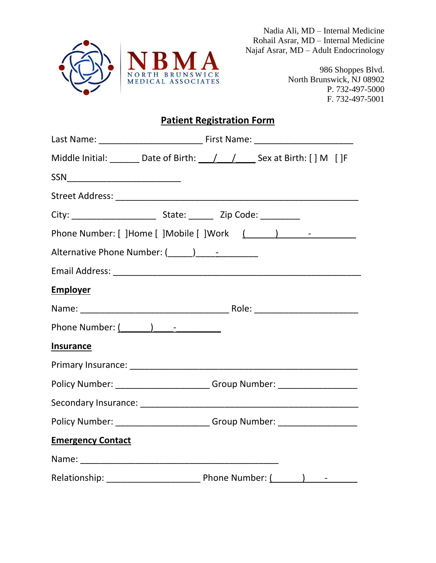

Nadia Ali, MD – Internal Medicine Rohail Asrar, MD – Internal Medicine Najaf Asrar, MD – Adult Endocrinology

> 986 Shoppes Blvd. North Brunswick, NJ 08902 P. 732-497-5000 F. 732-497-5001

## **Patient Registration Form**

|                                                 |  | Middle Initial: ________ Date of Birth: ___/ ___/ _____ Sex at Birth: [ ] M [ ]F |  |  |  |
|-------------------------------------------------|--|----------------------------------------------------------------------------------|--|--|--|
| SSN______________________________               |  |                                                                                  |  |  |  |
|                                                 |  |                                                                                  |  |  |  |
|                                                 |  |                                                                                  |  |  |  |
|                                                 |  |                                                                                  |  |  |  |
| Alternative Phone Number: (_____)______________ |  |                                                                                  |  |  |  |
|                                                 |  |                                                                                  |  |  |  |
| <b>Employer</b>                                 |  |                                                                                  |  |  |  |
|                                                 |  |                                                                                  |  |  |  |
| Phone Number: $($ $)$ $  -$                     |  |                                                                                  |  |  |  |
| <b>Insurance</b>                                |  |                                                                                  |  |  |  |
|                                                 |  |                                                                                  |  |  |  |
|                                                 |  | Policy Number: ________________________Group Number: ___________________________ |  |  |  |
|                                                 |  |                                                                                  |  |  |  |
|                                                 |  | Policy Number: _________________________Group Number: __________________________ |  |  |  |
| <b>Emergency Contact</b>                        |  |                                                                                  |  |  |  |
|                                                 |  |                                                                                  |  |  |  |
|                                                 |  |                                                                                  |  |  |  |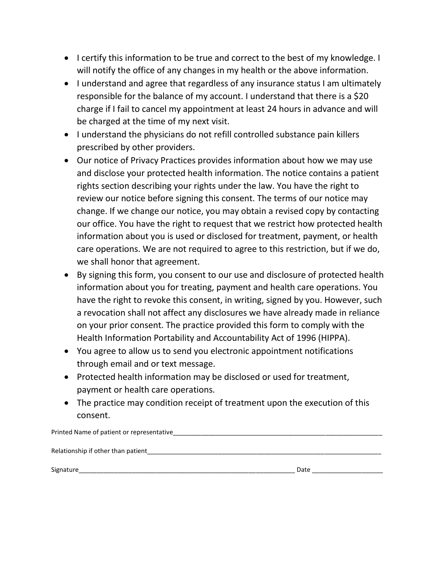- I certify this information to be true and correct to the best of my knowledge. I will notify the office of any changes in my health or the above information.
- I understand and agree that regardless of any insurance status I am ultimately responsible for the balance of my account. I understand that there is a \$20 charge if I fail to cancel my appointment at least 24 hours in advance and will be charged at the time of my next visit.
- I understand the physicians do not refill controlled substance pain killers prescribed by other providers.
- Our notice of Privacy Practices provides information about how we may use and disclose your protected health information. The notice contains a patient rights section describing your rights under the law. You have the right to review our notice before signing this consent. The terms of our notice may change. If we change our notice, you may obtain a revised copy by contacting our office. You have the right to request that we restrict how protected health information about you is used or disclosed for treatment, payment, or health care operations. We are not required to agree to this restriction, but if we do, we shall honor that agreement.
- By signing this form, you consent to our use and disclosure of protected health information about you for treating, payment and health care operations. You have the right to revoke this consent, in writing, signed by you. However, such a revocation shall not affect any disclosures we have already made in reliance on your prior consent. The practice provided this form to comply with the Health Information Portability and Accountability Act of 1996 (HIPPA).
- You agree to allow us to send you electronic appointment notifications through email and or text message.
- Protected health information may be disclosed or used for treatment, payment or health care operations.
- The practice may condition receipt of treatment upon the execution of this consent.

Printed Name of patient or representative\_\_\_\_\_\_\_\_\_\_\_\_\_\_\_\_\_\_\_\_\_\_\_\_\_\_\_\_\_\_\_\_\_\_\_\_\_\_\_\_\_\_\_\_\_\_\_\_\_\_\_\_\_\_\_\_\_\_\_ Relationship if other than patient\_\_\_\_\_\_\_\_\_\_\_\_\_\_\_\_\_\_\_\_\_\_\_\_\_\_\_\_\_\_\_\_\_\_\_\_\_\_\_\_\_\_\_\_\_\_\_\_\_\_\_\_\_\_\_\_\_\_\_\_\_\_\_\_\_\_

Signature\_\_\_\_\_\_\_\_\_\_\_\_\_\_\_\_\_\_\_\_\_\_\_\_\_\_\_\_\_\_\_\_\_\_\_\_\_\_\_\_\_\_\_\_\_\_\_\_\_\_\_\_\_\_\_\_\_\_\_\_\_ Date \_\_\_\_\_\_\_\_\_\_\_\_\_\_\_\_\_\_\_\_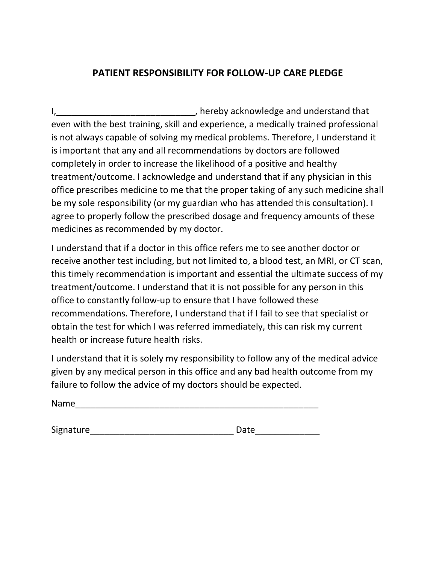## **PATIENT RESPONSIBILITY FOR FOLLOW-UP CARE PLEDGE**

I, thereby acknowledge and understand that even with the best training, skill and experience, a medically trained professional is not always capable of solving my medical problems. Therefore, I understand it is important that any and all recommendations by doctors are followed completely in order to increase the likelihood of a positive and healthy treatment/outcome. I acknowledge and understand that if any physician in this office prescribes medicine to me that the proper taking of any such medicine shall be my sole responsibility (or my guardian who has attended this consultation). I agree to properly follow the prescribed dosage and frequency amounts of these medicines as recommended by my doctor.

I understand that if a doctor in this office refers me to see another doctor or receive another test including, but not limited to, a blood test, an MRI, or CT scan, this timely recommendation is important and essential the ultimate success of my treatment/outcome. I understand that it is not possible for any person in this office to constantly follow-up to ensure that I have followed these recommendations. Therefore, I understand that if I fail to see that specialist or obtain the test for which I was referred immediately, this can risk my current health or increase future health risks.

I understand that it is solely my responsibility to follow any of the medical advice given by any medical person in this office and any bad health outcome from my failure to follow the advice of my doctors should be expected.

Name\_\_\_\_\_\_\_\_\_\_\_\_\_\_\_\_\_\_\_\_\_\_\_\_\_\_\_\_\_\_\_\_\_\_\_\_\_\_\_\_\_\_\_\_\_\_\_\_\_

Signature **Salumers** Date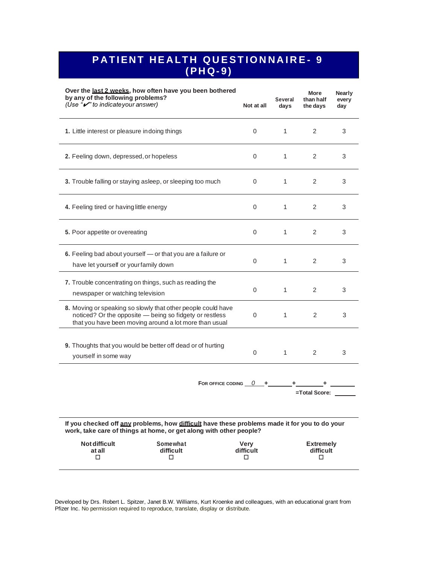# **P A T I EN T H E A LT H Q U E S T I O N N A I R E - <sup>9</sup> ( PH Q- 9 )**

| Over the last 2 weeks, how often have you been bothered<br>by any of the following problems?<br>(Use "v" to indicate your answer)                                                 |                                                 | Not at all | Several<br>days | More<br>than half<br>the days       | Nearly<br>every<br>day |  |  |
|-----------------------------------------------------------------------------------------------------------------------------------------------------------------------------------|-------------------------------------------------|------------|-----------------|-------------------------------------|------------------------|--|--|
| 1. Little interest or pleasure indoing things                                                                                                                                     |                                                 | $\Omega$   | $\mathbf{1}$    | 2                                   | 3                      |  |  |
| 2. Feeling down, depressed, or hopeless                                                                                                                                           |                                                 | $\Omega$   | $\mathbf{1}$    | 2                                   | 3                      |  |  |
| 3. Trouble falling or staying asleep, or sleeping too much                                                                                                                        |                                                 |            | $\mathbf{1}$    | 2                                   | 3                      |  |  |
| 4. Feeling tired or having little energy                                                                                                                                          |                                                 | $\Omega$   | $\mathbf{1}$    | 2                                   | 3                      |  |  |
| 5. Poor appetite or overeating                                                                                                                                                    |                                                 | 0          | $\mathbf{1}$    | 2                                   | 3                      |  |  |
| 6. Feeling bad about yourself - or that you are a failure or<br>have let yourself or yourfamily down                                                                              |                                                 | 0          | $\mathbf{1}$    | 2                                   | 3                      |  |  |
| 7. Trouble concentrating on things, such as reading the<br>newspaper or watching television                                                                                       |                                                 | 0          | $\mathbf{1}$    | 2                                   | 3                      |  |  |
| 8. Moving or speaking so slowly that other people could have<br>noticed? Or the opposite - being so fidgety or restless<br>that you have been moving around a lot more than usual |                                                 | 0          | 1               | 2                                   | 3                      |  |  |
| 9. Thoughts that you would be better off dead or of hurting<br>yourself in some way                                                                                               |                                                 | 0          | $1 \quad$       | 2                                   | 3                      |  |  |
|                                                                                                                                                                                   | FOR OFFICE CODING $\frac{0}{0}$ +               |            |                 |                                     |                        |  |  |
|                                                                                                                                                                                   |                                                 |            |                 | =Total Score:                       |                        |  |  |
| If you checked off any problems, how difficult have these problems made it for you to do your<br>work, take care of things at home, or get along with other people?               |                                                 |            |                 |                                     |                        |  |  |
| <b>Not difficult</b><br>at all<br>□                                                                                                                                               | Somewhat<br>Verv<br>difficult<br>difficult<br>□ |            |                 | <b>Extremely</b><br>difficult<br>П. |                        |  |  |

Developed by Drs. Robert L. Spitzer, Janet B.W. Williams, Kurt Kroenke and colleagues, with an educational grant from Pfizer Inc. No permission required to reproduce, translate, display or distribute.